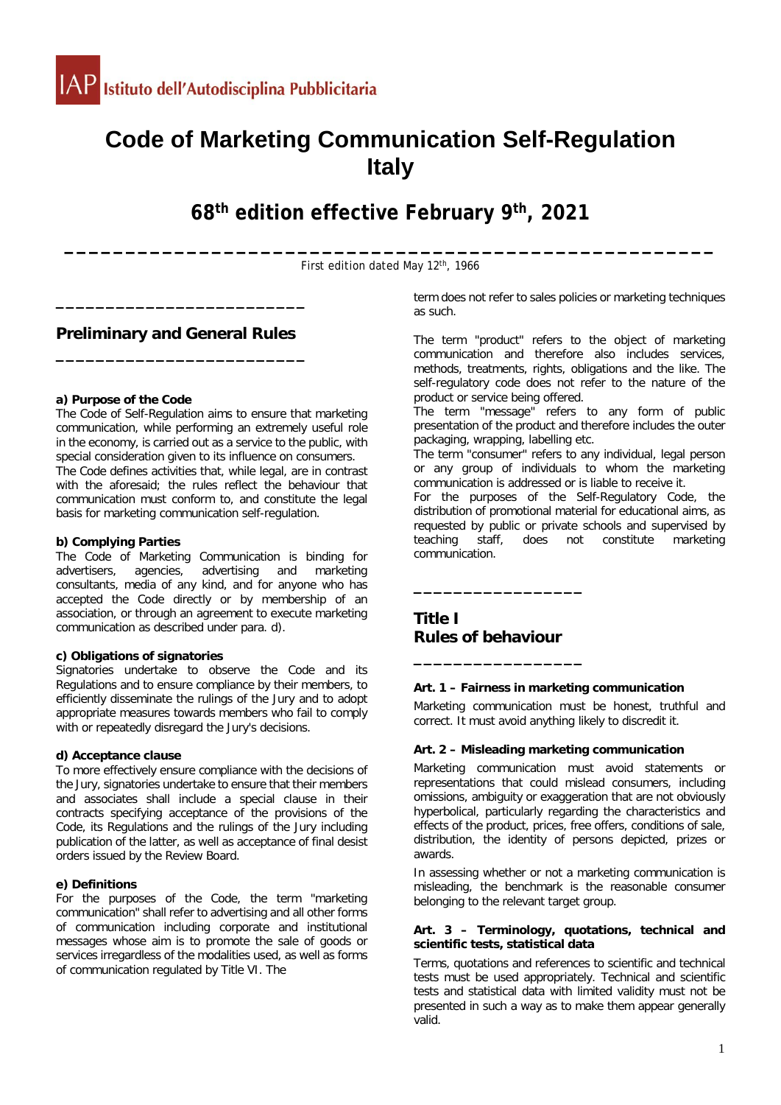# **Code of Marketing Communication Self-Regulation Italy**

**68th edition effective February 9th, 2021**

**\_\_\_\_\_\_\_\_\_\_\_\_\_\_\_\_\_\_\_\_\_\_\_\_\_\_\_\_\_\_\_\_\_\_\_\_\_\_\_\_\_\_\_\_\_\_\_\_\_\_\_\_\_** First edition dated May 12<sup>th</sup>, 1966

## **Preliminary and General Rules \_\_\_\_\_\_\_\_\_\_\_\_\_\_\_\_\_\_\_\_\_\_\_\_\_**

**\_\_\_\_\_\_\_\_\_\_\_\_\_\_\_\_\_\_\_\_\_\_\_\_\_**

## **a) Purpose of the Code**

The Code of Self-Regulation aims to ensure that marketing communication, while performing an extremely useful role in the economy, is carried out as a service to the public, with special consideration given to its influence on consumers. The Code defines activities that, while legal, are in contrast with the aforesaid; the rules reflect the behaviour that communication must conform to, and constitute the legal basis for marketing communication self-regulation.

#### **b) Complying Parties**

The Code of Marketing Communication is binding for advertisers, agencies, advertising and marketing agencies, consultants, media of any kind, and for anyone who has accepted the Code directly or by membership of an association, or through an agreement to execute marketing communication as described under para. d).

#### **c) Obligations of signatories**

Signatories undertake to observe the Code and its Regulations and to ensure compliance by their members, to efficiently disseminate the rulings of the Jury and to adopt appropriate measures towards members who fail to comply with or repeatedly disregard the Jury's decisions.

## **d) Acceptance clause**

To more effectively ensure compliance with the decisions of the Jury, signatories undertake to ensure that their members and associates shall include a special clause in their contracts specifying acceptance of the provisions of the Code, its Regulations and the rulings of the Jury including publication of the latter, as well as acceptance of final desist orders issued by the Review Board.

## **e) Definitions**

For the purposes of the Code, the term "marketing communication" shall refer to advertising and all other forms of communication including corporate and institutional messages whose aim is to promote the sale of goods or services irregardless of the modalities used, as well as forms of communication regulated by Title VI. The

term does not refer to sales policies or marketing techniques as such.

The term "product" refers to the object of marketing communication and therefore also includes services, methods, treatments, rights, obligations and the like. The self-regulatory code does not refer to the nature of the product or service being offered.

The term "message" refers to any form of public presentation of the product and therefore includes the outer packaging, wrapping, labelling etc.

The term "consumer" refers to any individual, legal person or any group of individuals to whom the marketing communication is addressed or is liable to receive it.

For the purposes of the Self-Regulatory Code, the distribution of promotional material for educational aims, as requested by public or private schools and supervised by teaching staff, does not constitute marketing teaching staff, does not constitute marketing communication.

## **Title I Rules of behaviour**

**\_\_\_\_\_\_\_\_\_\_\_\_\_\_\_\_\_**

**\_\_\_\_\_\_\_\_\_\_\_\_\_\_\_\_\_**

## **Art. 1 – Fairness in marketing communication**

Marketing communication must be honest, truthful and correct. It must avoid anything likely to discredit it.

## **Art. 2 – Misleading marketing communication**

Marketing communication must avoid statements or representations that could mislead consumers, including omissions, ambiguity or exaggeration that are not obviously hyperbolical, particularly regarding the characteristics and effects of the product, prices, free offers, conditions of sale, distribution, the identity of persons depicted, prizes or awards.

In assessing whether or not a marketing communication is misleading, the benchmark is the reasonable consumer belonging to the relevant target group.

#### **Art. 3 – Terminology, quotations, technical and scientific tests, statistical data**

Terms, quotations and references to scientific and technical tests must be used appropriately. Technical and scientific tests and statistical data with limited validity must not be presented in such a way as to make them appear generally valid.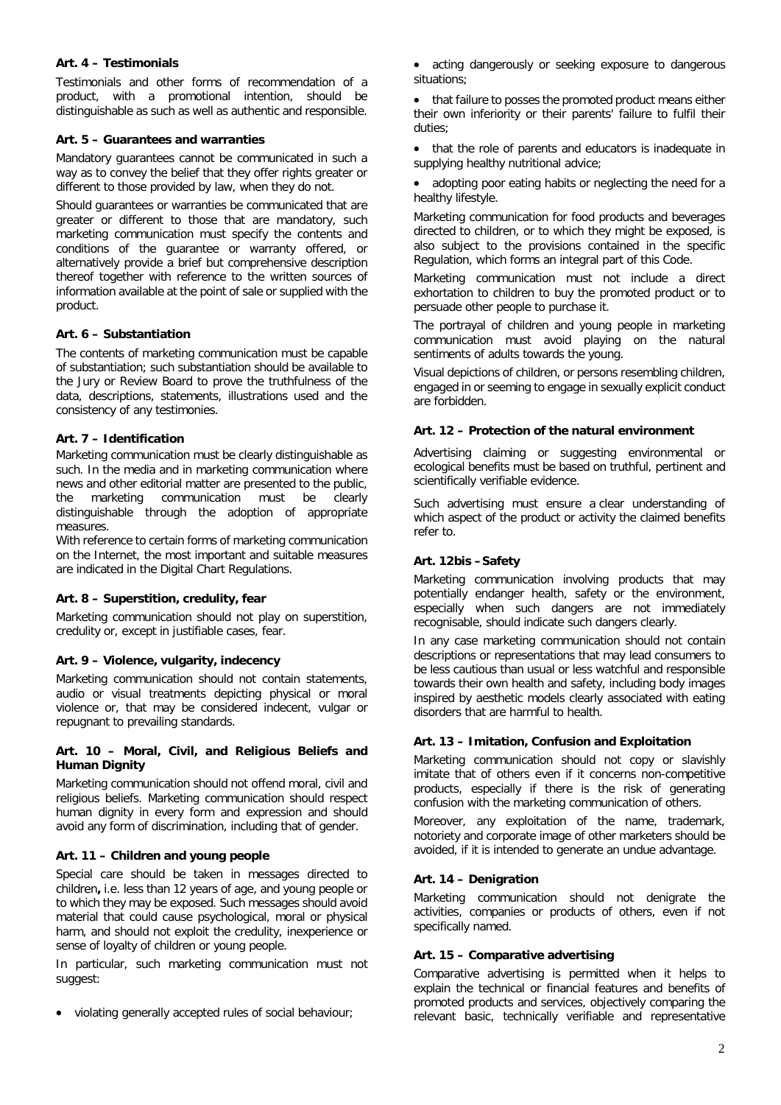## **Art. 4 – Testimonials**

Testimonials and other forms of recommendation of a product, with a promotional intention, should be distinguishable as such as well as authentic and responsible.

#### **Art. 5 – Guarantees and warranties**

Mandatory guarantees cannot be communicated in such a way as to convey the belief that they offer rights greater or different to those provided by law, when they do not.

Should guarantees or warranties be communicated that are greater or different to those that are mandatory, such marketing communication must specify the contents and conditions of the guarantee or warranty offered, or alternatively provide a brief but comprehensive description thereof together with reference to the written sources of information available at the point of sale or supplied with the product.

#### **Art. 6 – Substantiation**

The contents of marketing communication must be capable of substantiation; such substantiation should be available to the Jury or Review Board to prove the truthfulness of the data, descriptions, statements, illustrations used and the consistency of any testimonies.

## **Art. 7 – Identification**

Marketing communication must be clearly distinguishable as such. In the media and in marketing communication where news and other editorial matter are presented to the public, the marketing communication must be clearly distinguishable through the adoption of appropriate measures.

With reference to certain forms of marketing communication on the Internet, the most important and suitable measures are indicated in the Digital Chart Regulations.

## **Art. 8 – Superstition, credulity, fear**

Marketing communication should not play on superstition, credulity or, except in justifiable cases, fear.

#### **Art. 9 – Violence, vulgarity, indecency**

Marketing communication should not contain statements, audio or visual treatments depicting physical or moral violence or, that may be considered indecent, vulgar or repugnant to prevailing standards.

#### **Art. 10 – Moral, Civil, and Religious Beliefs and Human Dignity**

Marketing communication should not offend moral, civil and religious beliefs. Marketing communication should respect human dignity in every form and expression and should avoid any form of discrimination, including that of gender.

## **Art. 11 – Children and young people**

Special care should be taken in messages directed to children**,** i.e. less than 12 years of age, and young people or to which they may be exposed. Such messages should avoid material that could cause psychological, moral or physical harm, and should not exploit the credulity, inexperience or sense of loyalty of children or young people.

In particular, such marketing communication must not suggest:

• violating generally accepted rules of social behaviour;

• acting dangerously or seeking exposure to dangerous situations;

• that failure to posses the promoted product means either their own inferiority or their parents' failure to fulfil their duties;

• that the role of parents and educators is inadequate in supplying healthy nutritional advice;

adopting poor eating habits or neglecting the need for a healthy lifestyle.

Marketing communication for food products and beverages directed to children, or to which they might be exposed, is also subject to the provisions contained in the specific Regulation, which forms an integral part of this Code.

Marketing communication must not include a direct exhortation to children to buy the promoted product or to persuade other people to purchase it.

The portrayal of children and young people in marketing communication must avoid playing on the natural sentiments of adults towards the young.

Visual depictions of children, or persons resembling children, engaged in or seeming to engage in sexually explicit conduct are forbidden.

#### **Art. 12 – Protection of the natural environment**

Advertising claiming or suggesting environmental or ecological benefits must be based on truthful, pertinent and scientifically verifiable evidence.

Such advertising must ensure a clear understanding of which aspect of the product or activity the claimed benefits refer to.

#### **Art. 12bis –Safety**

Marketing communication involving products that may potentially endanger health, safety or the environment, especially when such dangers are not immediately recognisable, should indicate such dangers clearly.

In any case marketing communication should not contain descriptions or representations that may lead consumers to be less cautious than usual or less watchful and responsible towards their own health and safety, including body images inspired by aesthetic models clearly associated with eating disorders that are harmful to health.

#### **Art. 13 – Imitation, Confusion and Exploitation**

Marketing communication should not copy or slavishly imitate that of others even if it concerns non-competitive products, especially if there is the risk of generating confusion with the marketing communication of others.

Moreover, any exploitation of the name, trademark, notoriety and corporate image of other marketers should be avoided, if it is intended to generate an undue advantage.

#### **Art. 14 – Denigration**

Marketing communication should not denigrate the activities, companies or products of others, even if not specifically named.

## **Art. 15 – Comparative advertising**

Comparative advertising is permitted when it helps to explain the technical or financial features and benefits of promoted products and services, objectively comparing the relevant basic, technically verifiable and representative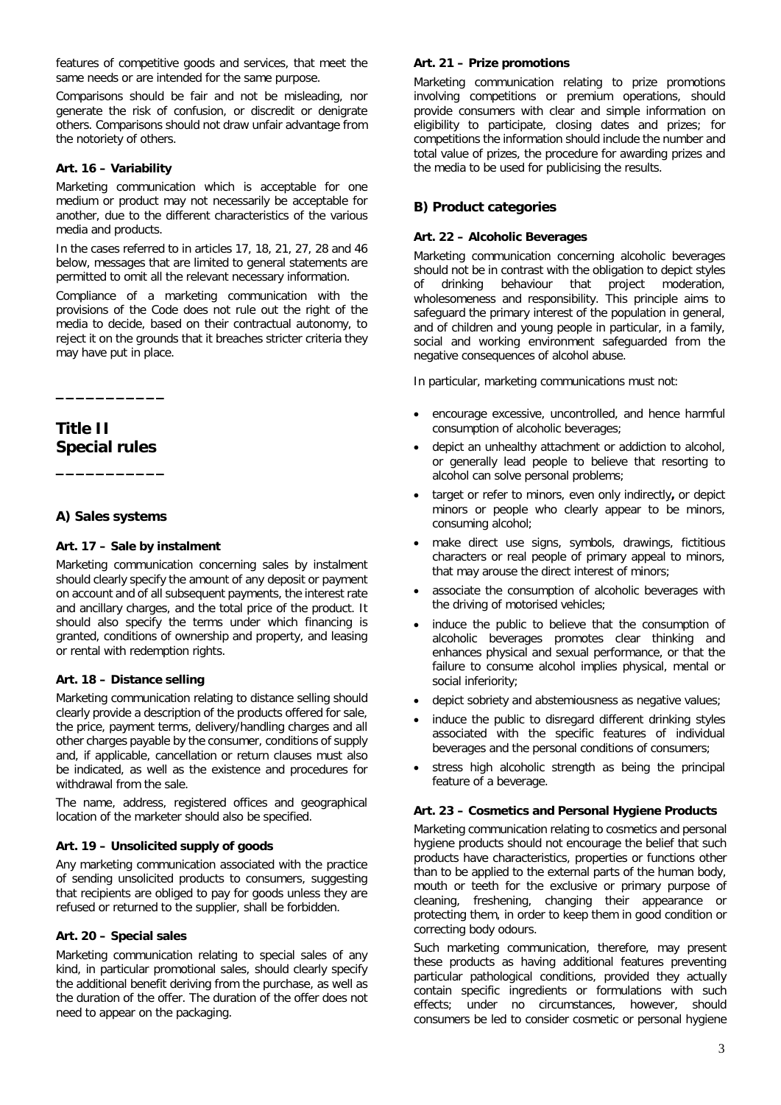features of competitive goods and services, that meet the same needs or are intended for the same purpose.

Comparisons should be fair and not be misleading, nor generate the risk of confusion, or discredit or denigrate others. Comparisons should not draw unfair advantage from the notoriety of others.

## **Art. 16 – Variability**

Marketing communication which is acceptable for one medium or product may not necessarily be acceptable for another, due to the different characteristics of the various media and products.

In the cases referred to in articles 17, 18, 21, 27, 28 and 46 below, messages that are limited to general statements are permitted to omit all the relevant necessary information.

Compliance of a marketing communication with the provisions of the Code does not rule out the right of the media to decide, based on their contractual autonomy, to reject it on the grounds that it breaches stricter criteria they may have put in place.

## **Title II Special rules**

**\_\_\_\_\_\_\_\_\_\_\_**

## **A) Sales systems**

**\_\_\_\_\_\_\_\_\_\_\_**

## **Art. 17 – Sale by instalment**

Marketing communication concerning sales by instalment should clearly specify the amount of any deposit or payment on account and of all subsequent payments, the interest rate and ancillary charges, and the total price of the product. It should also specify the terms under which financing is granted, conditions of ownership and property, and leasing or rental with redemption rights.

## **Art. 18 – Distance selling**

Marketing communication relating to distance selling should clearly provide a description of the products offered for sale, the price, payment terms, delivery/handling charges and all other charges payable by the consumer, conditions of supply and, if applicable, cancellation or return clauses must also be indicated, as well as the existence and procedures for withdrawal from the sale.

The name, address, registered offices and geographical location of the marketer should also be specified.

## **Art. 19 – Unsolicited supply of goods**

Any marketing communication associated with the practice of sending unsolicited products to consumers, suggesting that recipients are obliged to pay for goods unless they are refused or returned to the supplier, shall be forbidden.

## **Art. 20 – Special sales**

Marketing communication relating to special sales of any kind, in particular promotional sales, should clearly specify the additional benefit deriving from the purchase, as well as the duration of the offer. The duration of the offer does not need to appear on the packaging.

#### **Art. 21 – Prize promotions**

Marketing communication relating to prize promotions involving competitions or premium operations, should provide consumers with clear and simple information on eligibility to participate, closing dates and prizes; for competitions the information should include the number and total value of prizes, the procedure for awarding prizes and the media to be used for publicising the results.

## **B) Product categories**

### **Art. 22 – Alcoholic Beverages**

Marketing communication concerning alcoholic beverages should not be in contrast with the obligation to depict styles<br>of drinking behaviour that project moderation. of drinking behaviour that project moderation, wholesomeness and responsibility. This principle aims to safeguard the primary interest of the population in general, and of children and young people in particular, in a family, social and working environment safeguarded from the negative consequences of alcohol abuse.

In particular, marketing communications must not:

- encourage excessive, uncontrolled, and hence harmful consumption of alcoholic beverages;
- depict an unhealthy attachment or addiction to alcohol, or generally lead people to believe that resorting to alcohol can solve personal problems;
- target or refer to minors, even only indirectly**,** or depict minors or people who clearly appear to be minors, consuming alcohol;
- make direct use signs, symbols, drawings, fictitious characters or real people of primary appeal to minors, that may arouse the direct interest of minors;
- associate the consumption of alcoholic beverages with the driving of motorised vehicles;
- induce the public to believe that the consumption of alcoholic beverages promotes clear thinking and enhances physical and sexual performance, or that the failure to consume alcohol implies physical, mental or social inferiority;
- depict sobriety and abstemiousness as negative values;
- induce the public to disregard different drinking styles associated with the specific features of individual beverages and the personal conditions of consumers;
- stress high alcoholic strength as being the principal feature of a beverage.

## **Art. 23 – Cosmetics and Personal Hygiene Products**

Marketing communication relating to cosmetics and personal hygiene products should not encourage the belief that such products have characteristics, properties or functions other than to be applied to the external parts of the human body, mouth or teeth for the exclusive or primary purpose of cleaning, freshening, changing their appearance or protecting them, in order to keep them in good condition or correcting body odours.

Such marketing communication, therefore, may present these products as having additional features preventing particular pathological conditions, provided they actually contain specific ingredients or formulations with such effects; under no circumstances, however, should consumers be led to consider cosmetic or personal hygiene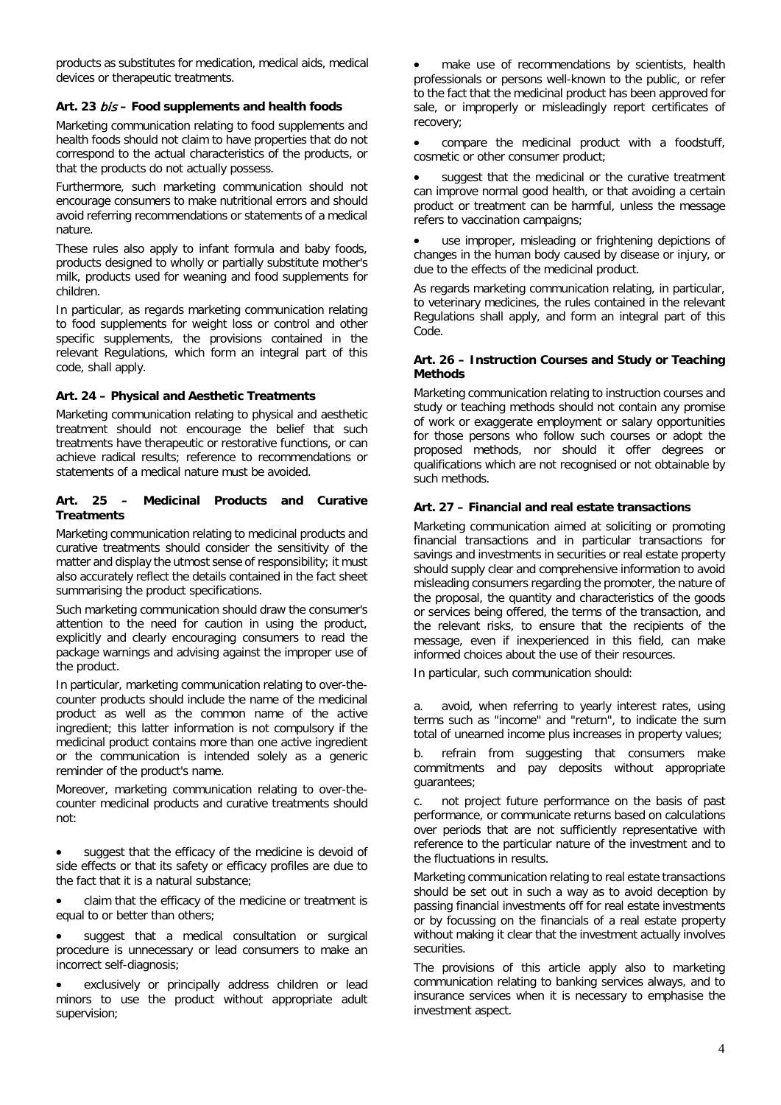products as substitutes for medication, medical aids, medical devices or therapeutic treatments.

## **Art. 23** bis **– Food supplements and health foods**

Marketing communication relating to food supplements and health foods should not claim to have properties that do not correspond to the actual characteristics of the products, or that the products do not actually possess.

Furthermore, such marketing communication should not encourage consumers to make nutritional errors and should avoid referring recommendations or statements of a medical nature.

These rules also apply to infant formula and baby foods, products designed to wholly or partially substitute mother's milk, products used for weaning and food supplements for children.

In particular, as regards marketing communication relating to food supplements for weight loss or control and other specific supplements, the provisions contained in the relevant Regulations, which form an integral part of this code, shall apply.

## **Art. 24 – Physical and Aesthetic Treatments**

Marketing communication relating to physical and aesthetic treatment should not encourage the belief that such treatments have therapeutic or restorative functions, or can achieve radical results; reference to recommendations or statements of a medical nature must be avoided.

#### **Art. 25 – Medicinal Products and Curative Treatments**

Marketing communication relating to medicinal products and curative treatments should consider the sensitivity of the matter and display the utmost sense of responsibility; it must also accurately reflect the details contained in the fact sheet summarising the product specifications.

Such marketing communication should draw the consumer's attention to the need for caution in using the product, explicitly and clearly encouraging consumers to read the package warnings and advising against the improper use of the product.

In particular, marketing communication relating to over-thecounter products should include the name of the medicinal product as well as the common name of the active ingredient; this latter information is not compulsory if the medicinal product contains more than one active ingredient or the communication is intended solely as a generic reminder of the product's name.

Moreover, marketing communication relating to over-thecounter medicinal products and curative treatments should not:

suggest that the efficacy of the medicine is devoid of side effects or that its safety or efficacy profiles are due to the fact that it is a natural substance;

• claim that the efficacy of the medicine or treatment is equal to or better than others;

suggest that a medical consultation or surgical procedure is unnecessary or lead consumers to make an incorrect self-diagnosis;

• exclusively or principally address children or lead minors to use the product without appropriate adult supervision;

make use of recommendations by scientists, health professionals or persons well-known to the public, or refer to the fact that the medicinal product has been approved for sale, or improperly or misleadingly report certificates of recovery;

• compare the medicinal product with a foodstuff, cosmetic or other consumer product;

suggest that the medicinal or the curative treatment can improve normal good health, or that avoiding a certain product or treatment can be harmful, unless the message refers to vaccination campaigns;

use improper, misleading or frightening depictions of changes in the human body caused by disease or injury, or due to the effects of the medicinal product.

As regards marketing communication relating, in particular, to veterinary medicines, the rules contained in the relevant Regulations shall apply, and form an integral part of this Code.

#### **Art. 26 – Instruction Courses and Study or Teaching Methods**

Marketing communication relating to instruction courses and study or teaching methods should not contain any promise of work or exaggerate employment or salary opportunities for those persons who follow such courses or adopt the proposed methods, nor should it offer degrees or qualifications which are not recognised or not obtainable by such methods.

## **Art. 27 – Financial and real estate transactions**

Marketing communication aimed at soliciting or promoting financial transactions and in particular transactions for savings and investments in securities or real estate property should supply clear and comprehensive information to avoid misleading consumers regarding the promoter, the nature of the proposal, the quantity and characteristics of the goods or services being offered, the terms of the transaction, and the relevant risks, to ensure that the recipients of the message, even if inexperienced in this field, can make informed choices about the use of their resources.

In particular, such communication should:

a. avoid, when referring to yearly interest rates, using terms such as "income" and "return", to indicate the sum total of unearned income plus increases in property values;

b. refrain from suggesting that consumers make commitments and pay deposits without appropriate guarantees;

c. not project future performance on the basis of past performance, or communicate returns based on calculations over periods that are not sufficiently representative with reference to the particular nature of the investment and to the fluctuations in results.

Marketing communication relating to real estate transactions should be set out in such a way as to avoid deception by passing financial investments off for real estate investments or by focussing on the financials of a real estate property without making it clear that the investment actually involves securities.

The provisions of this article apply also to marketing communication relating to banking services always, and to insurance services when it is necessary to emphasise the investment aspect.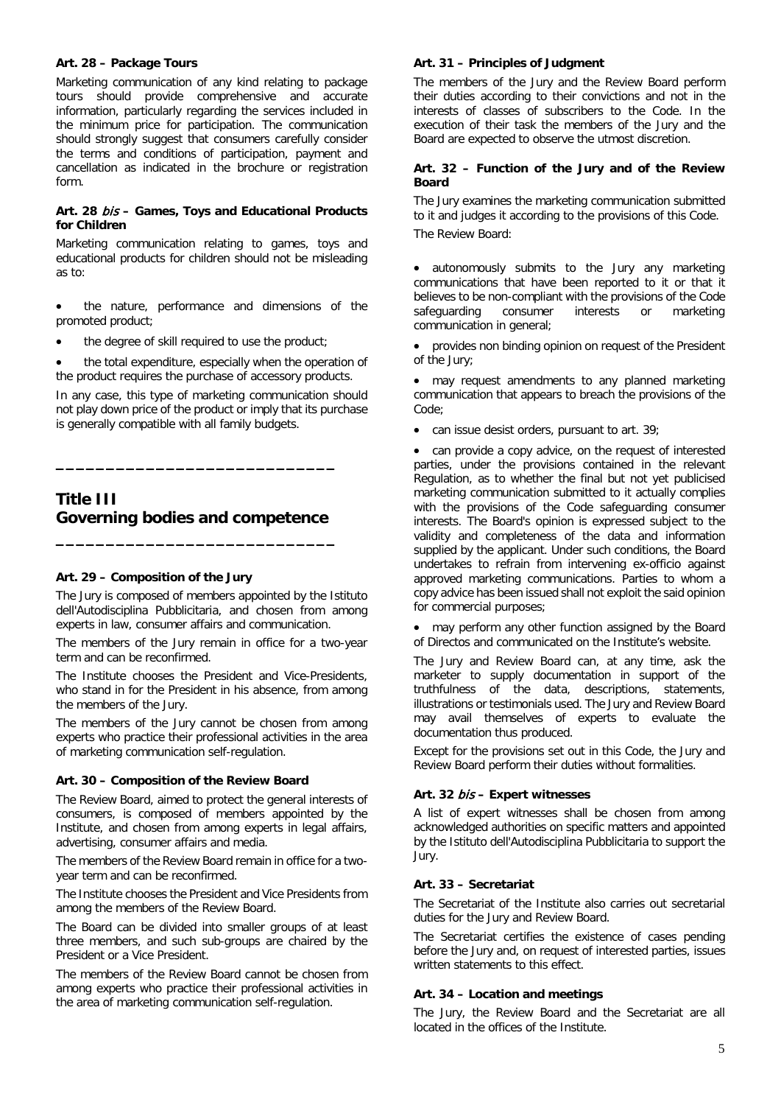### **Art. 28 – Package Tours**

Marketing communication of any kind relating to package tours should provide comprehensive and accurate information, particularly regarding the services included in the minimum price for participation. The communication should strongly suggest that consumers carefully consider the terms and conditions of participation, payment and cancellation as indicated in the brochure or registration form.

#### **Art. 28** bis **– Games, Toys and Educational Products for Children**

Marketing communication relating to games, toys and educational products for children should not be misleading as to:

- the nature, performance and dimensions of the promoted product;
- the degree of skill required to use the product:

• the total expenditure, especially when the operation of the product requires the purchase of accessory products.

In any case, this type of marketing communication should not play down price of the product or imply that its purchase is generally compatible with all family budgets.

## **Title III Governing bodies and competence**

**\_\_\_\_\_\_\_\_\_\_\_\_\_\_\_\_\_\_\_\_\_\_\_\_\_\_\_\_**

**\_\_\_\_\_\_\_\_\_\_\_\_\_\_\_\_\_\_\_\_\_\_\_\_\_\_\_\_**

## **Art. 29 – Composition of the Jury**

The Jury is composed of members appointed by the Istituto dell'Autodisciplina Pubblicitaria, and chosen from among experts in law, consumer affairs and communication.

The members of the Jury remain in office for a two-year term and can be reconfirmed.

The Institute chooses the President and Vice-Presidents, who stand in for the President in his absence, from among the members of the Jury.

The members of the Jury cannot be chosen from among experts who practice their professional activities in the area of marketing communication self-regulation.

#### **Art. 30 – Composition of the Review Board**

The Review Board, aimed to protect the general interests of consumers, is composed of members appointed by the Institute, and chosen from among experts in legal affairs, advertising, consumer affairs and media.

The members of the Review Board remain in office for a twoyear term and can be reconfirmed.

The Institute chooses the President and Vice Presidents from among the members of the Review Board.

The Board can be divided into smaller groups of at least three members, and such sub-groups are chaired by the President or a Vice President.

The members of the Review Board cannot be chosen from among experts who practice their professional activities in the area of marketing communication self-regulation.

## **Art. 31 – Principles of Judgment**

The members of the Jury and the Review Board perform their duties according to their convictions and not in the interests of classes of subscribers to the Code. In the execution of their task the members of the Jury and the Board are expected to observe the utmost discretion.

## **Art. 32 – Function of the Jury and of the Review Board**

The Jury examines the marketing communication submitted to it and judges it according to the provisions of this Code. The Review Board:

• autonomously submits to the Jury any marketing communications that have been reported to it or that it believes to be non-compliant with the provisions of the Code<br>safequarding consumer interests or marketing safeguarding communication in general;

• provides non binding opinion on request of the President of the Jury;

• may request amendments to any planned marketing communication that appears to breach the provisions of the Code:

• can issue desist orders, pursuant to art. 39;

• can provide a copy advice, on the request of interested parties, under the provisions contained in the relevant Regulation, as to whether the final but not yet publicised marketing communication submitted to it actually complies with the provisions of the Code safeguarding consumer interests. The Board's opinion is expressed subject to the validity and completeness of the data and information supplied by the applicant. Under such conditions, the Board undertakes to refrain from intervening ex-officio against approved marketing communications. Parties to whom a copy advice has been issued shall not exploit the said opinion for commercial purposes;

• may perform any other function assigned by the Board of Directos and communicated on the Institute's website.

The Jury and Review Board can, at any time, ask the marketer to supply documentation in support of the truthfulness of the data, descriptions, statements, illustrations or testimonials used. The Jury and Review Board may avail themselves of experts to evaluate the documentation thus produced.

Except for the provisions set out in this Code, the Jury and Review Board perform their duties without formalities.

#### **Art. 32** bis **– Expert witnesses**

A list of expert witnesses shall be chosen from among acknowledged authorities on specific matters and appointed by the Istituto dell'Autodisciplina Pubblicitaria to support the Jury.

#### **Art. 33 – Secretariat**

The Secretariat of the Institute also carries out secretarial duties for the Jury and Review Board.

The Secretariat certifies the existence of cases pending before the Jury and, on request of interested parties, issues written statements to this effect.

#### **Art. 34 – Location and meetings**

The Jury, the Review Board and the Secretariat are all located in the offices of the Institute.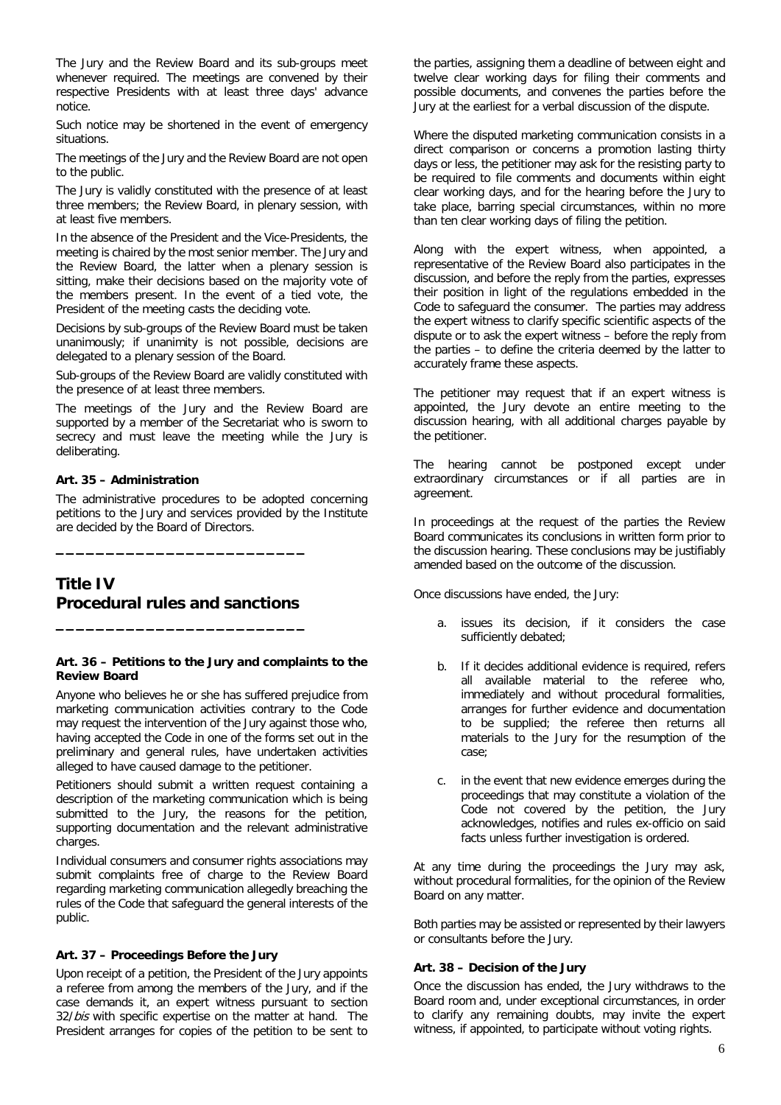The Jury and the Review Board and its sub-groups meet whenever required. The meetings are convened by their respective Presidents with at least three days' advance notice.

Such notice may be shortened in the event of emergency situations.

The meetings of the Jury and the Review Board are not open to the public.

The Jury is validly constituted with the presence of at least three members; the Review Board, in plenary session, with at least five members.

In the absence of the President and the Vice-Presidents, the meeting is chaired by the most senior member. The Jury and the Review Board, the latter when a plenary session is sitting, make their decisions based on the majority vote of the members present. In the event of a tied vote, the President of the meeting casts the deciding vote.

Decisions by sub-groups of the Review Board must be taken unanimously; if unanimity is not possible, decisions are delegated to a plenary session of the Board.

Sub-groups of the Review Board are validly constituted with the presence of at least three members.

The meetings of the Jury and the Review Board are supported by a member of the Secretariat who is sworn to secrecy and must leave the meeting while the Jury is deliberating.

## **Art. 35 – Administration**

The administrative procedures to be adopted concerning petitions to the Jury and services provided by the Institute are decided by the Board of Directors.

## **Title IV Procedural rules and sanctions**

**\_\_\_\_\_\_\_\_\_\_\_\_\_\_\_\_\_\_\_\_\_\_\_\_\_**

**\_\_\_\_\_\_\_\_\_\_\_\_\_\_\_\_\_\_\_\_\_\_\_\_\_**

#### **Art. 36 – Petitions to the Jury and complaints to the Review Board**

Anyone who believes he or she has suffered prejudice from marketing communication activities contrary to the Code may request the intervention of the Jury against those who, having accepted the Code in one of the forms set out in the preliminary and general rules, have undertaken activities alleged to have caused damage to the petitioner.

Petitioners should submit a written request containing a description of the marketing communication which is being submitted to the Jury, the reasons for the petition, supporting documentation and the relevant administrative charges.

Individual consumers and consumer rights associations may submit complaints free of charge to the Review Board regarding marketing communication allegedly breaching the rules of the Code that safeguard the general interests of the public.

## **Art. 37 – Proceedings Before the Jury**

Upon receipt of a petition, the President of the Jury appoints a referee from among the members of the Jury, and if the case demands it, an expert witness pursuant to section 32/bis with specific expertise on the matter at hand. The President arranges for copies of the petition to be sent to

the parties, assigning them a deadline of between eight and twelve clear working days for filing their comments and possible documents, and convenes the parties before the Jury at the earliest for a verbal discussion of the dispute.

Where the disputed marketing communication consists in a direct comparison or concerns a promotion lasting thirty days or less, the petitioner may ask for the resisting party to be required to file comments and documents within eight clear working days, and for the hearing before the Jury to take place, barring special circumstances, within no more than ten clear working days of filing the petition.

Along with the expert witness, when appointed, a representative of the Review Board also participates in the discussion, and before the reply from the parties, expresses their position in light of the regulations embedded in the Code to safeguard the consumer. The parties may address the expert witness to clarify specific scientific aspects of the dispute or to ask the expert witness – before the reply from the parties – to define the criteria deemed by the latter to accurately frame these aspects.

The petitioner may request that if an expert witness is appointed, the Jury devote an entire meeting to the discussion hearing, with all additional charges payable by the petitioner.

The hearing cannot be postponed except under extraordinary circumstances or if all parties are in agreement.

In proceedings at the request of the parties the Review Board communicates its conclusions in written form prior to the discussion hearing. These conclusions may be justifiably amended based on the outcome of the discussion.

Once discussions have ended, the Jury:

- a. issues its decision, if it considers the case sufficiently debated;
- b. If it decides additional evidence is required, refers all available material to the referee who, immediately and without procedural formalities, arranges for further evidence and documentation to be supplied; the referee then returns all materials to the Jury for the resumption of the case;
- c. in the event that new evidence emerges during the proceedings that may constitute a violation of the Code not covered by the petition, the Jury acknowledges, notifies and rules ex-officio on said facts unless further investigation is ordered.

At any time during the proceedings the Jury may ask, without procedural formalities, for the opinion of the Review Board on any matter.

Both parties may be assisted or represented by their lawyers or consultants before the Jury.

## **Art. 38 – Decision of the Jury**

Once the discussion has ended, the Jury withdraws to the Board room and, under exceptional circumstances, in order to clarify any remaining doubts, may invite the expert witness, if appointed, to participate without voting rights.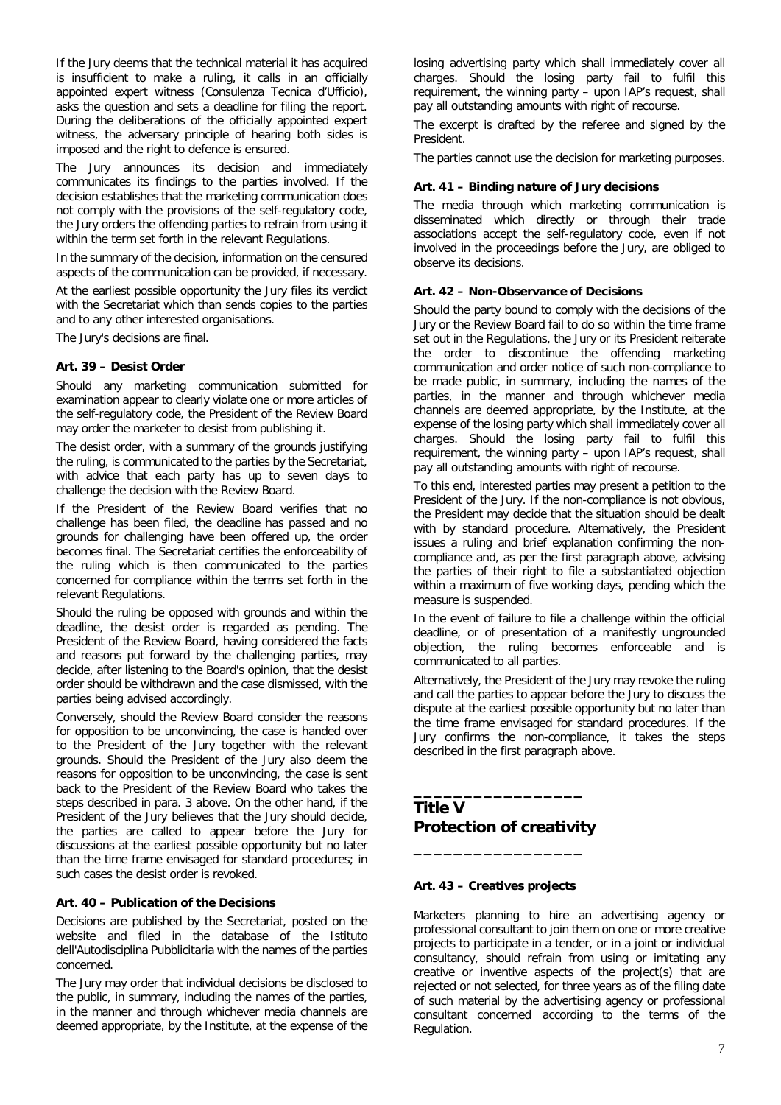If the Jury deems that the technical material it has acquired is insufficient to make a ruling, it calls in an officially appointed expert witness (Consulenza Tecnica d'Ufficio), asks the question and sets a deadline for filing the report. During the deliberations of the officially appointed expert witness, the adversary principle of hearing both sides is imposed and the right to defence is ensured.

The Jury announces its decision and immediately communicates its findings to the parties involved. If the decision establishes that the marketing communication does not comply with the provisions of the self-regulatory code, the Jury orders the offending parties to refrain from using it within the term set forth in the relevant Regulations.

In the summary of the decision, information on the censured aspects of the communication can be provided, if necessary.

At the earliest possible opportunity the Jury files its verdict with the Secretariat which than sends copies to the parties and to any other interested organisations.

The Jury's decisions are final.

## **Art. 39 – Desist Order**

Should any marketing communication submitted for examination appear to clearly violate one or more articles of the self-regulatory code, the President of the Review Board may order the marketer to desist from publishing it.

The desist order, with a summary of the grounds justifying the ruling, is communicated to the parties by the Secretariat, with advice that each party has up to seven days to challenge the decision with the Review Board.

If the President of the Review Board verifies that no challenge has been filed, the deadline has passed and no grounds for challenging have been offered up, the order becomes final. The Secretariat certifies the enforceability of the ruling which is then communicated to the parties concerned for compliance within the terms set forth in the relevant Regulations.

Should the ruling be opposed with grounds and within the deadline, the desist order is regarded as pending. The President of the Review Board, having considered the facts and reasons put forward by the challenging parties, may decide, after listening to the Board's opinion, that the desist order should be withdrawn and the case dismissed, with the parties being advised accordingly.

Conversely, should the Review Board consider the reasons for opposition to be unconvincing, the case is handed over to the President of the Jury together with the relevant grounds. Should the President of the Jury also deem the reasons for opposition to be unconvincing, the case is sent back to the President of the Review Board who takes the steps described in para. 3 above. On the other hand, if the President of the Jury believes that the Jury should decide, the parties are called to appear before the Jury for discussions at the earliest possible opportunity but no later than the time frame envisaged for standard procedures; in such cases the desist order is revoked.

## **Art. 40 – Publication of the Decisions**

Decisions are published by the Secretariat, posted on the website and filed in the database of the Istituto dell'Autodisciplina Pubblicitaria with the names of the parties concerned.

The Jury may order that individual decisions be disclosed to the public, in summary, including the names of the parties, in the manner and through whichever media channels are deemed appropriate, by the Institute, at the expense of the losing advertising party which shall immediately cover all charges. Should the losing party fail to fulfil this requirement, the winning party – upon IAP's request, shall pay all outstanding amounts with right of recourse.

The excerpt is drafted by the referee and signed by the President.

The parties cannot use the decision for marketing purposes.

### **Art. 41 – Binding nature of Jury decisions**

The media through which marketing communication is disseminated which directly or through their trade associations accept the self-regulatory code, even if not involved in the proceedings before the Jury, are obliged to observe its decisions.

#### **Art. 42 – Non-Observance of Decisions**

Should the party bound to comply with the decisions of the Jury or the Review Board fail to do so within the time frame set out in the Regulations, the Jury or its President reiterate the order to discontinue the offending marketing communication and order notice of such non-compliance to be made public, in summary, including the names of the parties, in the manner and through whichever media channels are deemed appropriate, by the Institute, at the expense of the losing party which shall immediately cover all charges. Should the losing party fail to fulfil this requirement, the winning party – upon IAP's request, shall pay all outstanding amounts with right of recourse.

To this end, interested parties may present a petition to the President of the Jury. If the non-compliance is not obvious, the President may decide that the situation should be dealt with by standard procedure. Alternatively, the President issues a ruling and brief explanation confirming the noncompliance and, as per the first paragraph above, advising the parties of their right to file a substantiated objection within a maximum of five working days, pending which the measure is suspended.

In the event of failure to file a challenge within the official deadline, or of presentation of a manifestly ungrounded objection, the ruling becomes enforceable and is communicated to all parties.

Alternatively, the President of the Jury may revoke the ruling and call the parties to appear before the Jury to discuss the dispute at the earliest possible opportunity but no later than the time frame envisaged for standard procedures. If the Jury confirms the non-compliance, it takes the steps described in the first paragraph above.

## **\_\_\_\_\_\_\_\_\_\_\_\_\_\_\_\_\_ Title V Protection of creativity**

#### **Art. 43 – Creatives projects**

**\_\_\_\_\_\_\_\_\_\_\_\_\_\_\_\_\_**

Marketers planning to hire an advertising agency or professional consultant to join them on one or more creative projects to participate in a tender, or in a joint or individual consultancy, should refrain from using or imitating any creative or inventive aspects of the project(s) that are rejected or not selected, for three years as of the filing date of such material by the advertising agency or professional consultant concerned according to the terms of the Regulation.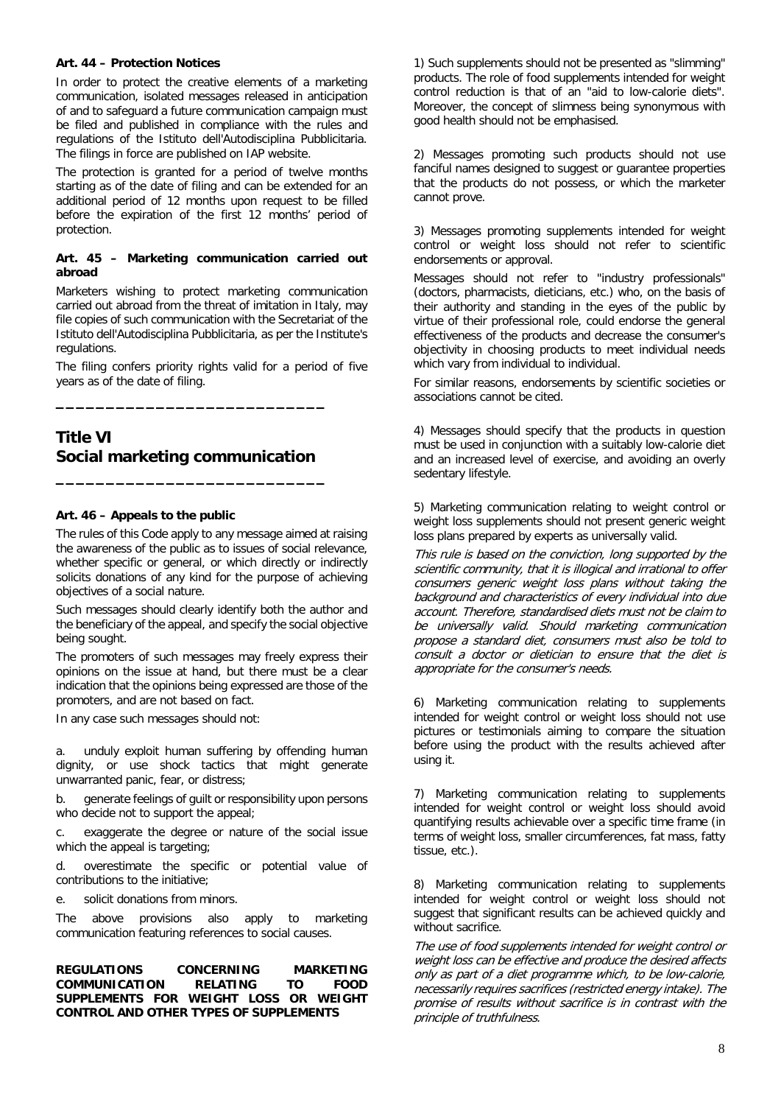#### **Art. 44 – Protection Notices**

In order to protect the creative elements of a marketing communication, isolated messages released in anticipation of and to safeguard a future communication campaign must be filed and published in compliance with the rules and regulations of the Istituto dell'Autodisciplina Pubblicitaria. The filings in force are published on IAP website.

The protection is granted for a period of twelve months starting as of the date of filing and can be extended for an additional period of 12 months upon request to be filled before the expiration of the first 12 months' period of protection.

#### **Art. 45 – Marketing communication carried out abroad**

Marketers wishing to protect marketing communication carried out abroad from the threat of imitation in Italy, may file copies of such communication with the Secretariat of the Istituto dell'Autodisciplina Pubblicitaria, as per the Institute's regulations.

The filing confers priority rights valid for a period of five years as of the date of filing.

## **Title VI Social marketing communication**

**\_\_\_\_\_\_\_\_\_\_\_\_\_\_\_\_\_\_\_\_\_\_\_\_\_\_\_**

**\_\_\_\_\_\_\_\_\_\_\_\_\_\_\_\_\_\_\_\_\_\_\_\_\_\_\_**

#### **Art. 46 – Appeals to the public**

The rules of this Code apply to any message aimed at raising the awareness of the public as to issues of social relevance, whether specific or general, or which directly or indirectly solicits donations of any kind for the purpose of achieving objectives of a social nature.

Such messages should clearly identify both the author and the beneficiary of the appeal, and specify the social objective being sought.

The promoters of such messages may freely express their opinions on the issue at hand, but there must be a clear indication that the opinions being expressed are those of the promoters, and are not based on fact.

In any case such messages should not:

a. unduly exploit human suffering by offending human dignity, or use shock tactics that might generate unwarranted panic, fear, or distress;

b. generate feelings of guilt or responsibility upon persons who decide not to support the appeal;

c. exaggerate the degree or nature of the social issue which the appeal is targeting;

d. overestimate the specific or potential value of contributions to the initiative;

e. solicit donations from minors.

The above provisions also apply to marketing communication featuring references to social causes.

#### **REGULATIONS CONCERNING MARKETING**   $COMMUNICATION$ **SUPPLEMENTS FOR WEIGHT LOSS OR WEIGHT CONTROL AND OTHER TYPES OF SUPPLEMENTS**

1) Such supplements should not be presented as "slimming" products. The role of food supplements intended for weight control reduction is that of an "aid to low-calorie diets". Moreover, the concept of slimness being synonymous with good health should not be emphasised.

2) Messages promoting such products should not use fanciful names designed to suggest or guarantee properties that the products do not possess, or which the marketer cannot prove.

3) Messages promoting supplements intended for weight control or weight loss should not refer to scientific endorsements or approval.

Messages should not refer to "industry professionals" (doctors, pharmacists, dieticians, etc.) who, on the basis of their authority and standing in the eyes of the public by virtue of their professional role, could endorse the general effectiveness of the products and decrease the consumer's objectivity in choosing products to meet individual needs which vary from individual to individual.

For similar reasons, endorsements by scientific societies or associations cannot be cited.

4) Messages should specify that the products in question must be used in conjunction with a suitably low-calorie diet and an increased level of exercise, and avoiding an overly sedentary lifestyle.

5) Marketing communication relating to weight control or weight loss supplements should not present generic weight loss plans prepared by experts as universally valid.

This rule is based on the conviction, long supported by the scientific community, that it is illogical and irrational to offer consumers generic weight loss plans without taking the background and characteristics of every individual into due account. Therefore, standardised diets must not be claim to be universally valid. Should marketing communication propose a standard diet, consumers must also be told to consult a doctor or dietician to ensure that the diet is appropriate for the consumer's needs.

6) Marketing communication relating to supplements intended for weight control or weight loss should not use pictures or testimonials aiming to compare the situation before using the product with the results achieved after using it.

7) Marketing communication relating to supplements intended for weight control or weight loss should avoid quantifying results achievable over a specific time frame (in terms of weight loss, smaller circumferences, fat mass, fatty tissue, etc.).

8) Marketing communication relating to supplements intended for weight control or weight loss should not suggest that significant results can be achieved quickly and without sacrifice.

The use of food supplements intended for weight control or weight loss can be effective and produce the desired affects only as part of a diet programme which, to be low-calorie, necessarily requires sacrifices (restricted energy intake). The promise of results without sacrifice is in contrast with the principle of truthfulness.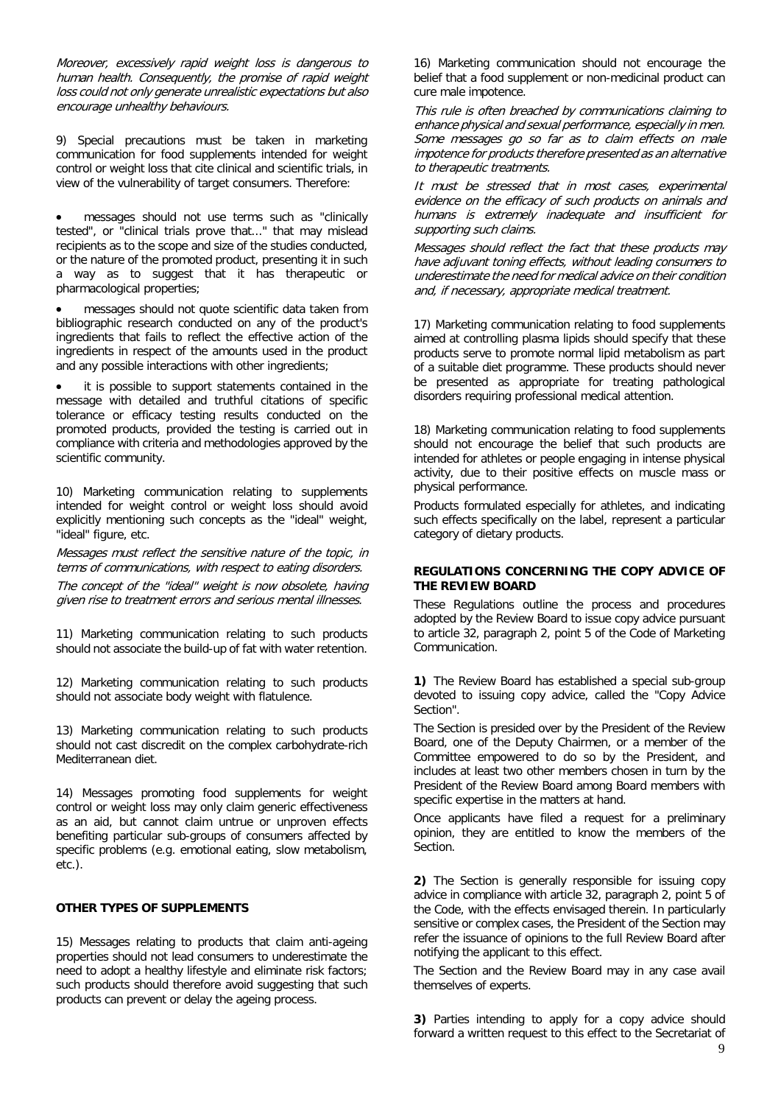Moreover, excessively rapid weight loss is dangerous to human health. Consequently, the promise of rapid weight loss could not only generate unrealistic expectations but also encourage unhealthy behaviours.

9) Special precautions must be taken in marketing communication for food supplements intended for weight control or weight loss that cite clinical and scientific trials, in view of the vulnerability of target consumers. Therefore:

messages should not use terms such as "clinically tested", or "clinical trials prove that..." that may mislead recipients as to the scope and size of the studies conducted, or the nature of the promoted product, presenting it in such a way as to suggest that it has therapeutic or pharmacological properties;

messages should not quote scientific data taken from bibliographic research conducted on any of the product's ingredients that fails to reflect the effective action of the ingredients in respect of the amounts used in the product and any possible interactions with other ingredients;

it is possible to support statements contained in the message with detailed and truthful citations of specific tolerance or efficacy testing results conducted on the promoted products, provided the testing is carried out in compliance with criteria and methodologies approved by the scientific community.

10) Marketing communication relating to supplements intended for weight control or weight loss should avoid explicitly mentioning such concepts as the "ideal" weight, "ideal" figure, etc.

Messages must reflect the sensitive nature of the topic, in terms of communications, with respect to eating disorders.

The concept of the "ideal" weight is now obsolete, having given rise to treatment errors and serious mental illnesses.

11) Marketing communication relating to such products should not associate the build-up of fat with water retention.

12) Marketing communication relating to such products should not associate body weight with flatulence.

13) Marketing communication relating to such products should not cast discredit on the complex carbohydrate-rich Mediterranean diet.

14) Messages promoting food supplements for weight control or weight loss may only claim generic effectiveness as an aid, but cannot claim untrue or unproven effects benefiting particular sub-groups of consumers affected by specific problems (e.g. emotional eating, slow metabolism, etc.).

## **OTHER TYPES OF SUPPLEMENTS**

15) Messages relating to products that claim anti-ageing properties should not lead consumers to underestimate the need to adopt a healthy lifestyle and eliminate risk factors; such products should therefore avoid suggesting that such products can prevent or delay the ageing process.

16) Marketing communication should not encourage the belief that a food supplement or non-medicinal product can cure male impotence.

This rule is often breached by communications claiming to enhance physical and sexual performance, especially in men. Some messages go so far as to claim effects on male impotence for products therefore presented as an alternative to therapeutic treatments.

It must be stressed that in most cases, experimental evidence on the efficacy of such products on animals and humans is extremely inadequate and insufficient for supporting such claims.

Messages should reflect the fact that these products may have adjuvant toning effects, without leading consumers to underestimate the need for medical advice on their condition and, if necessary, appropriate medical treatment.

17) Marketing communication relating to food supplements aimed at controlling plasma lipids should specify that these products serve to promote normal lipid metabolism as part of a suitable diet programme. These products should never be presented as appropriate for treating pathological disorders requiring professional medical attention.

18) Marketing communication relating to food supplements should not encourage the belief that such products are intended for athletes or people engaging in intense physical activity, due to their positive effects on muscle mass or physical performance.

Products formulated especially for athletes, and indicating such effects specifically on the label, represent a particular category of dietary products.

#### **REGULATIONS CONCERNING THE COPY ADVICE OF THE REVIEW BOARD**

These Regulations outline the process and procedures adopted by the Review Board to issue copy advice pursuant to article 32, paragraph 2, point 5 of the Code of Marketing Communication.

**1)** The Review Board has established a special sub-group devoted to issuing copy advice, called the "Copy Advice Section".

The Section is presided over by the President of the Review Board, one of the Deputy Chairmen, or a member of the Committee empowered to do so by the President, and includes at least two other members chosen in turn by the President of the Review Board among Board members with specific expertise in the matters at hand.

Once applicants have filed a request for a preliminary opinion, they are entitled to know the members of the Section.

**2)** The Section is generally responsible for issuing copy advice in compliance with article 32, paragraph 2, point 5 of the Code, with the effects envisaged therein. In particularly sensitive or complex cases, the President of the Section may refer the issuance of opinions to the full Review Board after notifying the applicant to this effect.

The Section and the Review Board may in any case avail themselves of experts.

**3)** Parties intending to apply for a copy advice should forward a written request to this effect to the Secretariat of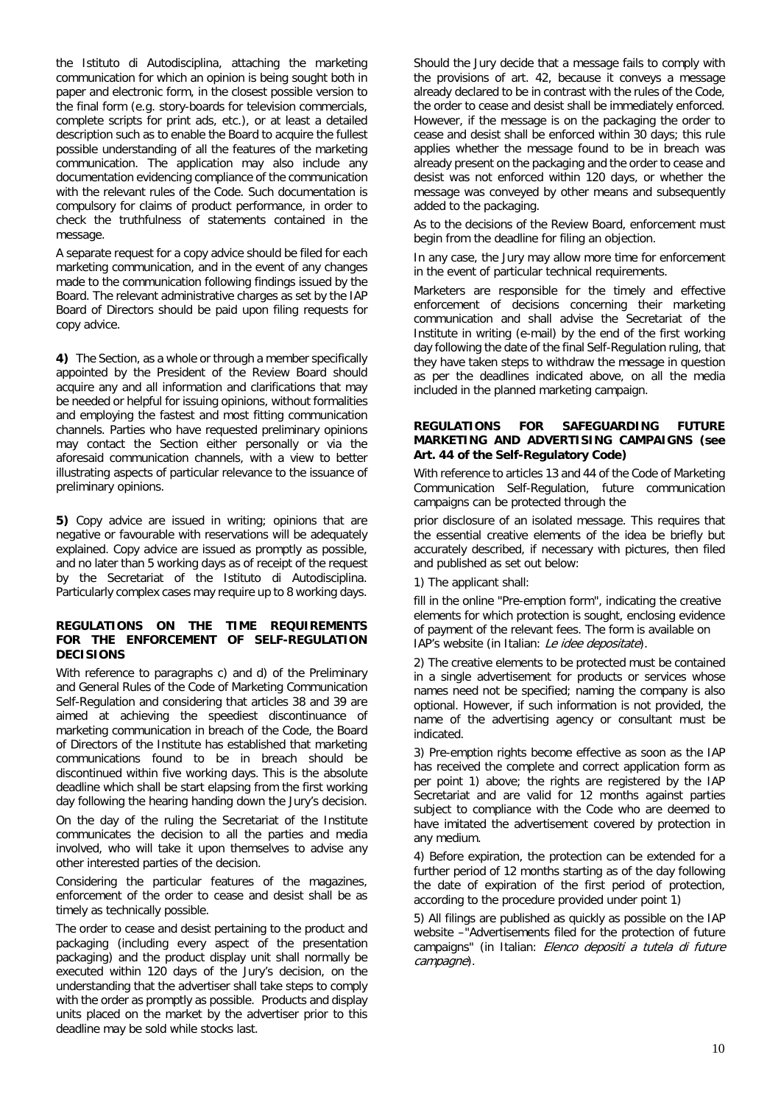the Istituto di Autodisciplina, attaching the marketing communication for which an opinion is being sought both in paper and electronic form, in the closest possible version to the final form (e.g. story-boards for television commercials, complete scripts for print ads, etc.), or at least a detailed description such as to enable the Board to acquire the fullest possible understanding of all the features of the marketing communication. The application may also include any documentation evidencing compliance of the communication with the relevant rules of the Code. Such documentation is compulsory for claims of product performance, in order to check the truthfulness of statements contained in the message.

A separate request for a copy advice should be filed for each marketing communication, and in the event of any changes made to the communication following findings issued by the Board. The relevant administrative charges as set by the IAP Board of Directors should be paid upon filing requests for copy advice.

**4)** The Section, as a whole or through a member specifically appointed by the President of the Review Board should acquire any and all information and clarifications that may be needed or helpful for issuing opinions, without formalities and employing the fastest and most fitting communication channels. Parties who have requested preliminary opinions may contact the Section either personally or via the aforesaid communication channels, with a view to better illustrating aspects of particular relevance to the issuance of preliminary opinions.

**5)** Copy advice are issued in writing; opinions that are negative or favourable with reservations will be adequately explained. Copy advice are issued as promptly as possible, and no later than 5 working days as of receipt of the request by the Secretariat of the Istituto di Autodisciplina. Particularly complex cases may require up to 8 working days.

### **REGULATIONS ON THE TIME REQUIREMENTS FOR THE ENFORCEMENT OF SELF-REGULATION DECISIONS**

With reference to paragraphs c) and d) of the Preliminary and General Rules of the Code of Marketing Communication Self-Regulation and considering that articles 38 and 39 are aimed at achieving the speediest discontinuance of marketing communication in breach of the Code, the Board of Directors of the Institute has established that marketing communications found to be in breach should be discontinued within five working days. This is the absolute deadline which shall be start elapsing from the first working day following the hearing handing down the Jury's decision.

On the day of the ruling the Secretariat of the Institute communicates the decision to all the parties and media involved, who will take it upon themselves to advise any other interested parties of the decision.

Considering the particular features of the magazines, enforcement of the order to cease and desist shall be as timely as technically possible.

The order to cease and desist pertaining to the product and packaging (including every aspect of the presentation packaging) and the product display unit shall normally be executed within 120 days of the Jury's decision, on the understanding that the advertiser shall take steps to comply with the order as promptly as possible. Products and display units placed on the market by the advertiser prior to this deadline may be sold while stocks last.

Should the Jury decide that a message fails to comply with the provisions of art. 42, because it conveys a message already declared to be in contrast with the rules of the Code, the order to cease and desist shall be immediately enforced. However, if the message is on the packaging the order to cease and desist shall be enforced within 30 days; this rule applies whether the message found to be in breach was already present on the packaging and the order to cease and desist was not enforced within 120 days, or whether the message was conveyed by other means and subsequently added to the packaging.

As to the decisions of the Review Board, enforcement must begin from the deadline for filing an objection.

In any case, the Jury may allow more time for enforcement in the event of particular technical requirements.

Marketers are responsible for the timely and effective enforcement of decisions concerning their marketing communication and shall advise the Secretariat of the Institute in writing (e-mail) by the end of the first working day following the date of the final Self-Regulation ruling, that they have taken steps to withdraw the message in question as per the deadlines indicated above, on all the media included in the planned marketing campaign.

### **REGULATIONS FOR SAFEGUARDING FUTURE MARKETING AND ADVERTISING CAMPAIGNS (see Art. 44 of the Self-Regulatory Code)**

With reference to articles 13 and 44 of the Code of Marketing Communication Self-Regulation, future communication campaigns can be protected through the

prior disclosure of an isolated message. This requires that the essential creative elements of the idea be briefly but accurately described, if necessary with pictures, then filed and published as set out below:

1) The applicant shall:

fill in the online "Pre-emption form", indicating the creative elements for which protection is sought, enclosing evidence of payment of the relevant fees. The form is available on IAP's website (in Italian: Le idee depositate).

2) The creative elements to be protected must be contained in a single advertisement for products or services whose names need not be specified; naming the company is also optional. However, if such information is not provided, the name of the advertising agency or consultant must be indicated.

3) Pre-emption rights become effective as soon as the IAP has received the complete and correct application form as per point 1) above; the rights are registered by the IAP Secretariat and are valid for 12 months against parties subject to compliance with the Code who are deemed to have imitated the advertisement covered by protection in any medium.

4) Before expiration, the protection can be extended for a further period of 12 months starting as of the day following the date of expiration of the first period of protection, according to the procedure provided under point 1)

5) All filings are published as quickly as possible on the IAP website –"Advertisements filed for the protection of future campaigns" (in Italian: Elenco depositi a tutela di future campagne).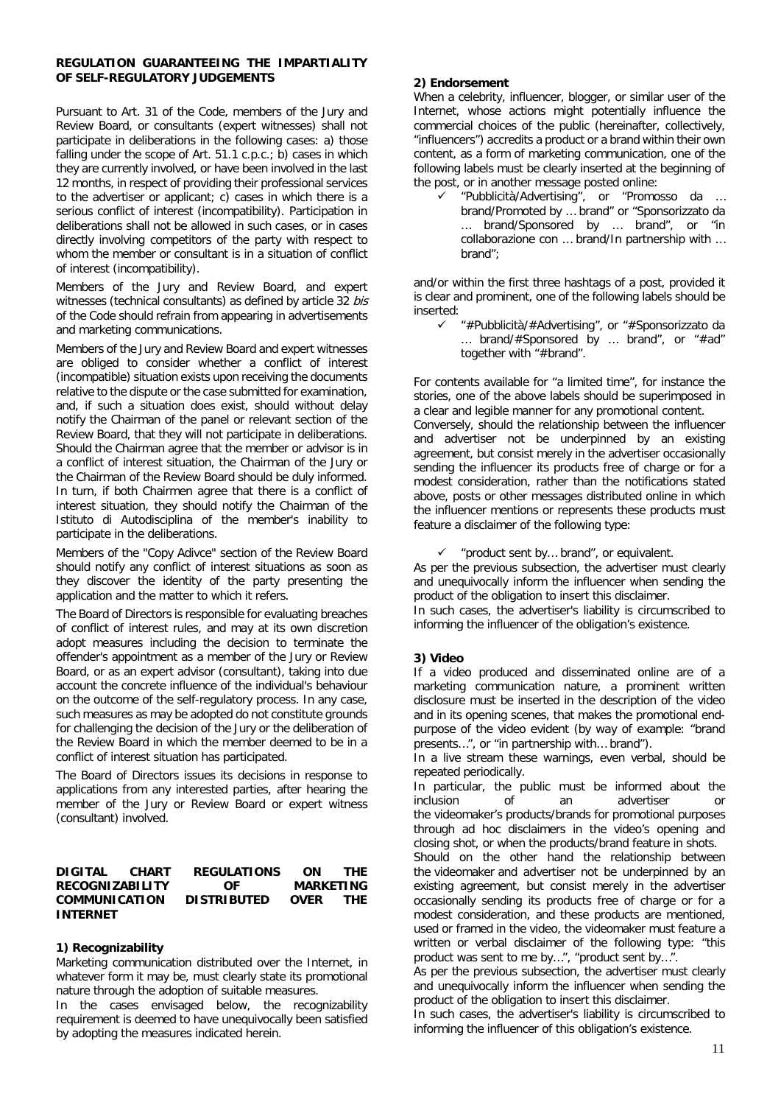#### **REGULATION GUARANTEEING THE IMPARTIALITY OF SELF-REGULATORY JUDGEMENTS**

Pursuant to Art. 31 of the Code, members of the Jury and Review Board, or consultants (expert witnesses) shall not participate in deliberations in the following cases: a) those falling under the scope of Art. 51.1 c.p.c.; b) cases in which they are currently involved, or have been involved in the last 12 months, in respect of providing their professional services to the advertiser or applicant; c) cases in which there is a serious conflict of interest (incompatibility). Participation in deliberations shall not be allowed in such cases, or in cases directly involving competitors of the party with respect to whom the member or consultant is in a situation of conflict of interest (incompatibility).

Members of the Jury and Review Board, and expert witnesses (technical consultants) as defined by article 32 bis of the Code should refrain from appearing in advertisements and marketing communications.

Members of the Jury and Review Board and expert witnesses are obliged to consider whether a conflict of interest (incompatible) situation exists upon receiving the documents relative to the dispute or the case submitted for examination, and, if such a situation does exist, should without delay notify the Chairman of the panel or relevant section of the Review Board, that they will not participate in deliberations. Should the Chairman agree that the member or advisor is in a conflict of interest situation, the Chairman of the Jury or the Chairman of the Review Board should be duly informed. In turn, if both Chairmen agree that there is a conflict of interest situation, they should notify the Chairman of the Istituto di Autodisciplina of the member's inability to participate in the deliberations.

Members of the "Copy Adivce" section of the Review Board should notify any conflict of interest situations as soon as they discover the identity of the party presenting the application and the matter to which it refers.

The Board of Directors is responsible for evaluating breaches of conflict of interest rules, and may at its own discretion adopt measures including the decision to terminate the offender's appointment as a member of the Jury or Review Board, or as an expert advisor (consultant), taking into due account the concrete influence of the individual's behaviour on the outcome of the self-regulatory process. In any case, such measures as may be adopted do not constitute grounds for challenging the decision of the Jury or the deliberation of the Review Board in which the member deemed to be in a conflict of interest situation has participated.

The Board of Directors issues its decisions in response to applications from any interested parties, after hearing the member of the Jury or Review Board or expert witness (consultant) involved.

#### **DIGITAL CHART REGULATIONS ON THE RECOGNIZABILITY OF MARKETING COMMUNICATION INTERNET**

## **1) Recognizability**

Marketing communication distributed over the Internet, in whatever form it may be, must clearly state its promotional nature through the adoption of suitable measures.

In the cases envisaged below, the recognizability requirement is deemed to have unequivocally been satisfied by adopting the measures indicated herein.

#### **2) Endorsement**

When a celebrity, influencer, blogger, or similar user of the Internet, whose actions might potentially influence the commercial choices of the public (hereinafter, collectively, "influencers") accredits a product or a brand within their own content, as a form of marketing communication, one of the following labels must be clearly inserted at the beginning of the post, or in another message posted online:

 "Pubblicità/Advertising", or "Promosso da … brand/Promoted by … brand" or "Sponsorizzato da … brand/Sponsored by … brand", or "in collaborazione con … brand/In partnership with … brand";

and/or within the first three hashtags of a post, provided it is clear and prominent, one of the following labels should be inserted:

> "#Pubblicità/#Advertising", or "#Sponsorizzato da … brand/#Sponsored by … brand", or "#ad" together with "#brand".

For contents available for "a limited time", for instance the stories, one of the above labels should be superimposed in a clear and legible manner for any promotional content. Conversely, should the relationship between the influencer and advertiser not be underpinned by an existing agreement, but consist merely in the advertiser occasionally sending the influencer its products free of charge or for a modest consideration, rather than the notifications stated above, posts or other messages distributed online in which the influencer mentions or represents these products must feature a disclaimer of the following type:

 $\checkmark$  "product sent by... brand", or equivalent.

As per the previous subsection, the advertiser must clearly and unequivocally inform the influencer when sending the product of the obligation to insert this disclaimer.

In such cases, the advertiser's liability is circumscribed to informing the influencer of the obligation's existence.

### **3) Video**

If a video produced and disseminated online are of a marketing communication nature, a prominent written disclosure must be inserted in the description of the video and in its opening scenes, that makes the promotional endpurpose of the video evident (by way of example: "brand presents…", or "in partnership with… brand").

In a live stream these warnings, even verbal, should be repeated periodically.

In particular, the public must be informed about the inclusion of  $\overline{a}$  an advertiser or inclusion of an advertiser or the videomaker's products/brands for promotional purposes through ad hoc disclaimers in the video's opening and closing shot, or when the products/brand feature in shots.

Should on the other hand the relationship between the videomaker and advertiser not be underpinned by an existing agreement, but consist merely in the advertiser occasionally sending its products free of charge or for a modest consideration, and these products are mentioned, used or framed in the video, the videomaker must feature a written or verbal disclaimer of the following type: "this product was sent to me by…", "product sent by…".

As per the previous subsection, the advertiser must clearly and unequivocally inform the influencer when sending the product of the obligation to insert this disclaimer.

In such cases, the advertiser's liability is circumscribed to informing the influencer of this obligation's existence.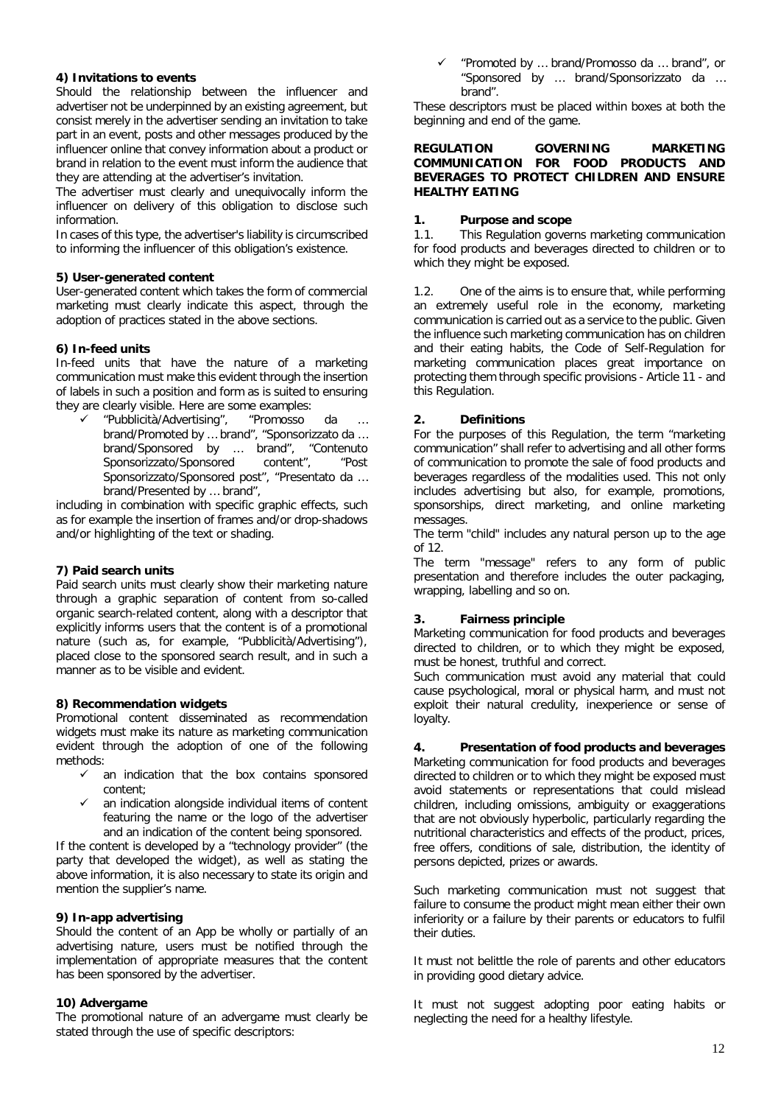## **4) Invitations to events**

Should the relationship between the influencer and advertiser not be underpinned by an existing agreement, but consist merely in the advertiser sending an invitation to take part in an event, posts and other messages produced by the influencer online that convey information about a product or brand in relation to the event must inform the audience that they are attending at the advertiser's invitation.

The advertiser must clearly and unequivocally inform the influencer on delivery of this obligation to disclose such information.

In cases of this type, the advertiser's liability is circumscribed to informing the influencer of this obligation's existence.

## **5) User-generated content**

User-generated content which takes the form of commercial marketing must clearly indicate this aspect, through the adoption of practices stated in the above sections.

## **6) In-feed units**

In-feed units that have the nature of a marketing communication must make this evident through the insertion of labels in such a position and form as is suited to ensuring they are clearly visible. Here are some examples:<br>
v "Pubblicità/Advertising", "Promosso

 "Pubblicità/Advertising", "Promosso da … brand/Promoted by … brand", "Sponsorizzato da … brand/Sponsored by ... brand", "Contenuto<br>Sponsorizzato/Sponsored content", "Post Sponsorizzato/Sponsored content", "Post Sponsorizzato/Sponsored post", "Presentato da … brand/Presented by … brand",

including in combination with specific graphic effects, such as for example the insertion of frames and/or drop-shadows and/or highlighting of the text or shading.

## **7) Paid search units**

Paid search units must clearly show their marketing nature through a graphic separation of content from so-called organic search-related content, along with a descriptor that explicitly informs users that the content is of a promotional nature (such as, for example, "Pubblicità/Advertising"), placed close to the sponsored search result, and in such a manner as to be visible and evident.

## **8) Recommendation widgets**

Promotional content disseminated as recommendation widgets must make its nature as marketing communication evident through the adoption of one of the following methods:

- an indication that the box contains sponsored content;
- an indication alongside individual items of content featuring the name or the logo of the advertiser and an indication of the content being sponsored.

If the content is developed by a "technology provider" (the party that developed the widget), as well as stating the above information, it is also necessary to state its origin and mention the supplier's name.

## **9) In-app advertising**

Should the content of an App be wholly or partially of an advertising nature, users must be notified through the implementation of appropriate measures that the content has been sponsored by the advertiser.

## **10) Advergame**

The promotional nature of an advergame must clearly be stated through the use of specific descriptors:

 "Promoted by … brand/Promosso da … brand", or "Sponsored by … brand/Sponsorizzato da … brand".

These descriptors must be placed within boxes at both the beginning and end of the game.

#### **REGULATION GOVERNING MARKETING FOR FOOD PRODUCTS AND BEVERAGES TO PROTECT CHILDREN AND ENSURE HEALTHY EATING**

## **1. Purpose and scope**

1.1. This Regulation governs marketing communication for food products and beverages directed to children or to which they might be exposed.

1.2. One of the aims is to ensure that, while performing an extremely useful role in the economy, marketing communication is carried out as a service to the public. Given the influence such marketing communication has on children and their eating habits, the Code of Self-Regulation for marketing communication places great importance on protecting them through specific provisions - Article 11 - and this Regulation.

## **2. Definitions**

For the purposes of this Regulation, the term "marketing communication" shall refer to advertising and all other forms of communication to promote the sale of food products and beverages regardless of the modalities used. This not only includes advertising but also, for example, promotions, sponsorships, direct marketing, and online marketing messages.

The term "child" includes any natural person up to the age of 12.

The term "message" refers to any form of public presentation and therefore includes the outer packaging, wrapping, labelling and so on.

## **3. Fairness principle**

Marketing communication for food products and beverages directed to children, or to which they might be exposed, must be honest, truthful and correct.

Such communication must avoid any material that could cause psychological, moral or physical harm, and must not exploit their natural credulity, inexperience or sense of loyalty.

## **4. Presentation of food products and beverages**

Marketing communication for food products and beverages directed to children or to which they might be exposed must avoid statements or representations that could mislead children, including omissions, ambiguity or exaggerations that are not obviously hyperbolic, particularly regarding the nutritional characteristics and effects of the product, prices, free offers, conditions of sale, distribution, the identity of persons depicted, prizes or awards.

Such marketing communication must not suggest that failure to consume the product might mean either their own inferiority or a failure by their parents or educators to fulfil their duties.

It must not belittle the role of parents and other educators in providing good dietary advice.

It must not suggest adopting poor eating habits or neglecting the need for a healthy lifestyle.